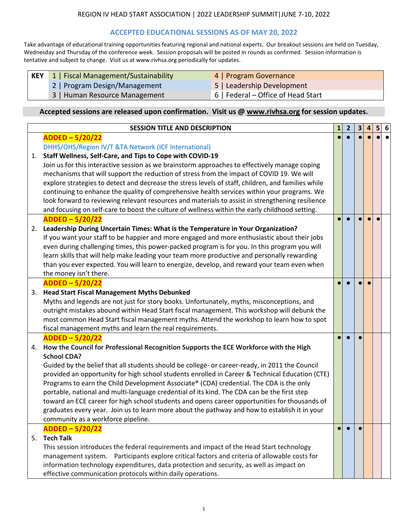# **ACCEPTED EDUCATIONAL SESSIONS AS OF MAY 20, 2022**

Take advantage of educational training opportunities featuring regional and national experts. Our breakout sessions are held on Tuesday, Wednesday and Thursday of the conference week. Session proposals will be posted in rounds as confirmed. Session information is tentative and subject to change. Visit us at www.rivhsa.org periodically for updates.

- **KEY** 1 | Fiscal Management/Sustainability **4 | Program Governance** 
	-
	- 2 | Program Design/Management 5 | Leadership Development
	- 3 | Human Resource Management 6 | Federal Office of Head Start
- 

|    | <b>SESSION TITLE AND DESCRIPTION</b>                                                                                                                                                                                                                                                                                                                                                                                                                                                                                                                                                                                                                                                                                                                                                                                                                                                                                                                                                                                                                                                                                                                                                                                                                              |  |  |  |  | 5 | 6 |
|----|-------------------------------------------------------------------------------------------------------------------------------------------------------------------------------------------------------------------------------------------------------------------------------------------------------------------------------------------------------------------------------------------------------------------------------------------------------------------------------------------------------------------------------------------------------------------------------------------------------------------------------------------------------------------------------------------------------------------------------------------------------------------------------------------------------------------------------------------------------------------------------------------------------------------------------------------------------------------------------------------------------------------------------------------------------------------------------------------------------------------------------------------------------------------------------------------------------------------------------------------------------------------|--|--|--|--|---|---|
|    | ADDED-5/20/22                                                                                                                                                                                                                                                                                                                                                                                                                                                                                                                                                                                                                                                                                                                                                                                                                                                                                                                                                                                                                                                                                                                                                                                                                                                     |  |  |  |  |   |   |
|    | DHHS/OHS/Region IV/T &TA Network (ICF International)                                                                                                                                                                                                                                                                                                                                                                                                                                                                                                                                                                                                                                                                                                                                                                                                                                                                                                                                                                                                                                                                                                                                                                                                              |  |  |  |  |   |   |
| 1. | Staff Wellness, Self-Care, and Tips to Cope with COVID-19                                                                                                                                                                                                                                                                                                                                                                                                                                                                                                                                                                                                                                                                                                                                                                                                                                                                                                                                                                                                                                                                                                                                                                                                         |  |  |  |  |   |   |
|    | Join us for this interactive session as we brainstorm approaches to effectively manage coping                                                                                                                                                                                                                                                                                                                                                                                                                                                                                                                                                                                                                                                                                                                                                                                                                                                                                                                                                                                                                                                                                                                                                                     |  |  |  |  |   |   |
|    | mechanisms that will support the reduction of stress from the impact of COVID 19. We will                                                                                                                                                                                                                                                                                                                                                                                                                                                                                                                                                                                                                                                                                                                                                                                                                                                                                                                                                                                                                                                                                                                                                                         |  |  |  |  |   |   |
|    | explore strategies to detect and decrease the stress levels of staff, children, and families while                                                                                                                                                                                                                                                                                                                                                                                                                                                                                                                                                                                                                                                                                                                                                                                                                                                                                                                                                                                                                                                                                                                                                                |  |  |  |  |   |   |
|    | continuing to enhance the quality of comprehensive health services within your programs. We<br>and focusing on self-care to boost the culture of wellness within the early childhood setting.<br>ADDED-5/20/22<br>Leadership During Uncertain Times: What is the Temperature in Your Organization?<br>even during challenging times, this power-packed program is for you. In this program you will<br>learn skills that will help make leading your team more productive and personally rewarding<br>the money isn't there.<br>$ADDED - 5/20/22$<br><b>Head Start Fiscal Management Myths Debunked</b><br>Myths and legends are not just for story books. Unfortunately, myths, misconceptions, and<br>fiscal management myths and learn the real requirements.<br>ADDED-5/20/22<br>How the Council for Professional Recognition Supports the ECE Workforce with the High<br><b>School CDA?</b><br>Programs to earn the Child Development Associate® (CDA) credential. The CDA is the only<br>portable, national and multi-language credential of its kind. The CDA can be the first step<br>community as a workforce pipeline.<br>ADDED-5/20/22<br><b>Tech Talk</b><br>This session introduces the federal requirements and impact of the Head Start technology |  |  |  |  |   |   |
|    | look forward to reviewing relevant resources and materials to assist in strengthening resilience                                                                                                                                                                                                                                                                                                                                                                                                                                                                                                                                                                                                                                                                                                                                                                                                                                                                                                                                                                                                                                                                                                                                                                  |  |  |  |  |   |   |
|    |                                                                                                                                                                                                                                                                                                                                                                                                                                                                                                                                                                                                                                                                                                                                                                                                                                                                                                                                                                                                                                                                                                                                                                                                                                                                   |  |  |  |  |   |   |
|    |                                                                                                                                                                                                                                                                                                                                                                                                                                                                                                                                                                                                                                                                                                                                                                                                                                                                                                                                                                                                                                                                                                                                                                                                                                                                   |  |  |  |  |   |   |
| 2. |                                                                                                                                                                                                                                                                                                                                                                                                                                                                                                                                                                                                                                                                                                                                                                                                                                                                                                                                                                                                                                                                                                                                                                                                                                                                   |  |  |  |  |   |   |
|    | If you want your staff to be happier and more engaged and more enthusiastic about their jobs                                                                                                                                                                                                                                                                                                                                                                                                                                                                                                                                                                                                                                                                                                                                                                                                                                                                                                                                                                                                                                                                                                                                                                      |  |  |  |  |   |   |
|    |                                                                                                                                                                                                                                                                                                                                                                                                                                                                                                                                                                                                                                                                                                                                                                                                                                                                                                                                                                                                                                                                                                                                                                                                                                                                   |  |  |  |  |   |   |
|    |                                                                                                                                                                                                                                                                                                                                                                                                                                                                                                                                                                                                                                                                                                                                                                                                                                                                                                                                                                                                                                                                                                                                                                                                                                                                   |  |  |  |  |   |   |
|    | than you ever expected. You will learn to energize, develop, and reward your team even when                                                                                                                                                                                                                                                                                                                                                                                                                                                                                                                                                                                                                                                                                                                                                                                                                                                                                                                                                                                                                                                                                                                                                                       |  |  |  |  |   |   |
|    |                                                                                                                                                                                                                                                                                                                                                                                                                                                                                                                                                                                                                                                                                                                                                                                                                                                                                                                                                                                                                                                                                                                                                                                                                                                                   |  |  |  |  |   |   |
|    |                                                                                                                                                                                                                                                                                                                                                                                                                                                                                                                                                                                                                                                                                                                                                                                                                                                                                                                                                                                                                                                                                                                                                                                                                                                                   |  |  |  |  |   |   |
|    |                                                                                                                                                                                                                                                                                                                                                                                                                                                                                                                                                                                                                                                                                                                                                                                                                                                                                                                                                                                                                                                                                                                                                                                                                                                                   |  |  |  |  |   |   |
|    |                                                                                                                                                                                                                                                                                                                                                                                                                                                                                                                                                                                                                                                                                                                                                                                                                                                                                                                                                                                                                                                                                                                                                                                                                                                                   |  |  |  |  |   |   |
|    |                                                                                                                                                                                                                                                                                                                                                                                                                                                                                                                                                                                                                                                                                                                                                                                                                                                                                                                                                                                                                                                                                                                                                                                                                                                                   |  |  |  |  |   |   |
|    | outright mistakes abound within Head Start fiscal management. This workshop will debunk the<br>most common Head Start fiscal management myths. Attend the workshop to learn how to spot                                                                                                                                                                                                                                                                                                                                                                                                                                                                                                                                                                                                                                                                                                                                                                                                                                                                                                                                                                                                                                                                           |  |  |  |  |   |   |
|    |                                                                                                                                                                                                                                                                                                                                                                                                                                                                                                                                                                                                                                                                                                                                                                                                                                                                                                                                                                                                                                                                                                                                                                                                                                                                   |  |  |  |  |   |   |
|    |                                                                                                                                                                                                                                                                                                                                                                                                                                                                                                                                                                                                                                                                                                                                                                                                                                                                                                                                                                                                                                                                                                                                                                                                                                                                   |  |  |  |  |   |   |
|    |                                                                                                                                                                                                                                                                                                                                                                                                                                                                                                                                                                                                                                                                                                                                                                                                                                                                                                                                                                                                                                                                                                                                                                                                                                                                   |  |  |  |  |   |   |
|    |                                                                                                                                                                                                                                                                                                                                                                                                                                                                                                                                                                                                                                                                                                                                                                                                                                                                                                                                                                                                                                                                                                                                                                                                                                                                   |  |  |  |  |   |   |
|    | 3.<br>5.<br>information technology expenditures, data protection and security, as well as impact on<br>effective communication protocols within daily operations.                                                                                                                                                                                                                                                                                                                                                                                                                                                                                                                                                                                                                                                                                                                                                                                                                                                                                                                                                                                                                                                                                                 |  |  |  |  |   |   |
|    |                                                                                                                                                                                                                                                                                                                                                                                                                                                                                                                                                                                                                                                                                                                                                                                                                                                                                                                                                                                                                                                                                                                                                                                                                                                                   |  |  |  |  |   |   |
|    |                                                                                                                                                                                                                                                                                                                                                                                                                                                                                                                                                                                                                                                                                                                                                                                                                                                                                                                                                                                                                                                                                                                                                                                                                                                                   |  |  |  |  |   |   |
|    |                                                                                                                                                                                                                                                                                                                                                                                                                                                                                                                                                                                                                                                                                                                                                                                                                                                                                                                                                                                                                                                                                                                                                                                                                                                                   |  |  |  |  |   |   |
|    |                                                                                                                                                                                                                                                                                                                                                                                                                                                                                                                                                                                                                                                                                                                                                                                                                                                                                                                                                                                                                                                                                                                                                                                                                                                                   |  |  |  |  |   |   |
|    |                                                                                                                                                                                                                                                                                                                                                                                                                                                                                                                                                                                                                                                                                                                                                                                                                                                                                                                                                                                                                                                                                                                                                                                                                                                                   |  |  |  |  |   |   |
|    |                                                                                                                                                                                                                                                                                                                                                                                                                                                                                                                                                                                                                                                                                                                                                                                                                                                                                                                                                                                                                                                                                                                                                                                                                                                                   |  |  |  |  |   |   |
|    |                                                                                                                                                                                                                                                                                                                                                                                                                                                                                                                                                                                                                                                                                                                                                                                                                                                                                                                                                                                                                                                                                                                                                                                                                                                                   |  |  |  |  |   |   |
|    |                                                                                                                                                                                                                                                                                                                                                                                                                                                                                                                                                                                                                                                                                                                                                                                                                                                                                                                                                                                                                                                                                                                                                                                                                                                                   |  |  |  |  |   |   |
|    |                                                                                                                                                                                                                                                                                                                                                                                                                                                                                                                                                                                                                                                                                                                                                                                                                                                                                                                                                                                                                                                                                                                                                                                                                                                                   |  |  |  |  |   |   |
|    |                                                                                                                                                                                                                                                                                                                                                                                                                                                                                                                                                                                                                                                                                                                                                                                                                                                                                                                                                                                                                                                                                                                                                                                                                                                                   |  |  |  |  |   |   |
|    |                                                                                                                                                                                                                                                                                                                                                                                                                                                                                                                                                                                                                                                                                                                                                                                                                                                                                                                                                                                                                                                                                                                                                                                                                                                                   |  |  |  |  |   |   |
| 4. | Guided by the belief that all students should be college- or career-ready, in 2011 the Council<br>provided an opportunity for high school students enrolled in Career & Technical Education (CTE)<br>toward an ECE career for high school students and opens career opportunities for thousands of<br>graduates every year. Join us to learn more about the pathway and how to establish it in your<br>management system. Participants explore critical factors and criteria of allowable costs for                                                                                                                                                                                                                                                                                                                                                                                                                                                                                                                                                                                                                                                                                                                                                               |  |  |  |  |   |   |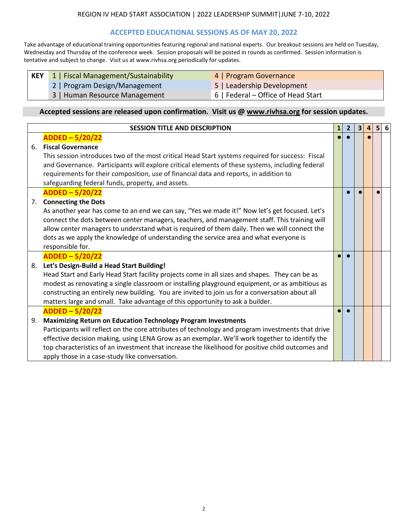### **ACCEPTED EDUCATIONAL SESSIONS AS OF MAY 20, 2022**

Take advantage of educational training opportunities featuring regional and national experts. Our breakout sessions are held on Tuesday, Wednesday and Thursday of the conference week. Session proposals will be posted in rounds as confirmed. Session information is tentative and subject to change. Visit us at www.rivhsa.org periodically for updates.

**KEY** 1 **1** | Program Governance

2 | Program Design/Management 5 | Leadership Development

3 | Human Resource Management 6 | Federal – Office of Head Start

|                   | <b>SESSION TITLE AND DESCRIPTION</b>                                                              | 1 | $\overline{2}$ | $\overline{\mathbf{3}}$ | $\overline{4}$ | 5 6 |
|-------------------|---------------------------------------------------------------------------------------------------|---|----------------|-------------------------|----------------|-----|
|                   | $ADDED - 5/20/22$                                                                                 |   |                |                         |                |     |
| 6.                | <b>Fiscal Governance</b>                                                                          |   |                |                         |                |     |
|                   | This session introduces two of the most critical Head Start systems required for success: Fiscal  |   |                |                         |                |     |
|                   | and Governance. Participants will explore critical elements of these systems, including federal   |   |                |                         |                |     |
|                   | requirements for their composition, use of financial data and reports, in addition to             |   |                |                         |                |     |
|                   | safeguarding federal funds, property, and assets.                                                 |   |                |                         |                |     |
| $ADDED - 5/20/22$ |                                                                                                   |   |                |                         |                |     |
|                   | <b>Connecting the Dots</b><br>7.                                                                  |   |                |                         |                |     |
|                   | As another year has come to an end we can say, "Yes we made it!" Now let's get focused. Let's     |   |                |                         |                |     |
|                   | connect the dots between center managers, teachers, and management staff. This training will      |   |                |                         |                |     |
|                   | allow center managers to understand what is required of them daily. Then we will connect the      |   |                |                         |                |     |
|                   | dots as we apply the knowledge of understanding the service area and what everyone is             |   |                |                         |                |     |
|                   | responsible for.                                                                                  |   |                |                         |                |     |
|                   | ADDED-5/20/22                                                                                     |   |                |                         |                |     |
| 8.                | Let's Design-Build a Head Start Building!                                                         |   |                |                         |                |     |
|                   | Head Start and Early Head Start facility projects come in all sizes and shapes. They can be as    |   |                |                         |                |     |
|                   | modest as renovating a single classroom or installing playground equipment, or as ambitious as    |   |                |                         |                |     |
|                   | constructing an entirely new building. You are invited to join us for a conversation about all    |   |                |                         |                |     |
|                   | matters large and small. Take advantage of this opportunity to ask a builder.                     |   |                |                         |                |     |
|                   | ADDED-5/20/22                                                                                     |   |                |                         |                |     |
| 9.                | <b>Maximizing Return on Education Technology Program Investments</b>                              |   |                |                         |                |     |
|                   | Participants will reflect on the core attributes of technology and program investments that drive |   |                |                         |                |     |
|                   | effective decision making, using LENA Grow as an exemplar. We'll work together to identify the    |   |                |                         |                |     |
|                   | top characteristics of an investment that increase the likelihood for positive child outcomes and |   |                |                         |                |     |
|                   | apply those in a case-study like conversation.                                                    |   |                |                         |                |     |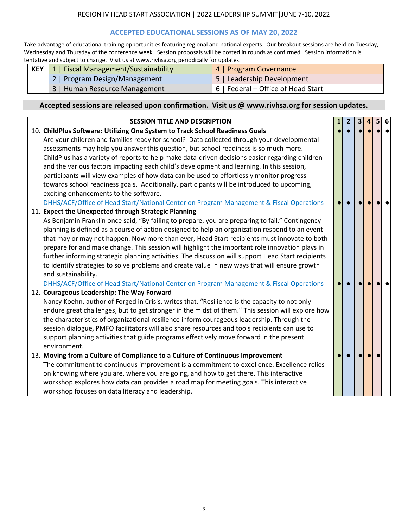## **ACCEPTED EDUCATIONAL SESSIONS AS OF MAY 20, 2022**

Take advantage of educational training opportunities featuring regional and national experts. Our breakout sessions are held on Tuesday, Wednesday and Thursday of the conference week. Session proposals will be posted in rounds as confirmed. Session information is tentative and subject to change. Visit us at www.rivhsa.org periodically for updates.

| <b>KEY</b> 1   Fiscal Management/Sustainability | 4   Program Governance     |  |
|-------------------------------------------------|----------------------------|--|
| 2   Program Design/Management                   | 5   Leadership Development |  |

- 3 | Human Resource Management 6 | Federal Office of Head Start
- -

| <b>SESSION TITLE AND DESCRIPTION</b>                                                                                                                                                                                                                                                                                                                                                                                                                                                                                                                                                                                                                                                                                                                            | $\mathbf{1}$ | $\overline{2}$ | $\overline{\mathbf{3}}$ | 4 | 5 <sup>1</sup> | 6 |
|-----------------------------------------------------------------------------------------------------------------------------------------------------------------------------------------------------------------------------------------------------------------------------------------------------------------------------------------------------------------------------------------------------------------------------------------------------------------------------------------------------------------------------------------------------------------------------------------------------------------------------------------------------------------------------------------------------------------------------------------------------------------|--------------|----------------|-------------------------|---|----------------|---|
| 10. ChildPlus Software: Utilizing One System to Track School Readiness Goals                                                                                                                                                                                                                                                                                                                                                                                                                                                                                                                                                                                                                                                                                    |              |                |                         |   |                |   |
| Are your children and families ready for school? Data collected through your developmental                                                                                                                                                                                                                                                                                                                                                                                                                                                                                                                                                                                                                                                                      |              |                |                         |   |                |   |
| assessments may help you answer this question, but school readiness is so much more.                                                                                                                                                                                                                                                                                                                                                                                                                                                                                                                                                                                                                                                                            |              |                |                         |   |                |   |
| and the various factors impacting each child's development and learning. In this session,<br>participants will view examples of how data can be used to effortlessly monitor progress<br>towards school readiness goals. Additionally, participants will be introduced to upcoming,<br>exciting enhancements to the software.<br>and sustainability.<br>Nancy Koehn, author of Forged in Crisis, writes that, "Resilience is the capacity to not only<br>the characteristics of organizational resilience inform courageous leadership. Through the<br>session dialogue, PMFO facilitators will also share resources and tools recipients can use to<br>support planning activities that guide programs effectively move forward in the present<br>environment. |              |                |                         |   |                |   |
|                                                                                                                                                                                                                                                                                                                                                                                                                                                                                                                                                                                                                                                                                                                                                                 |              |                |                         |   |                |   |
|                                                                                                                                                                                                                                                                                                                                                                                                                                                                                                                                                                                                                                                                                                                                                                 |              |                |                         |   |                |   |
|                                                                                                                                                                                                                                                                                                                                                                                                                                                                                                                                                                                                                                                                                                                                                                 |              |                |                         |   |                |   |
|                                                                                                                                                                                                                                                                                                                                                                                                                                                                                                                                                                                                                                                                                                                                                                 |              |                |                         |   |                |   |
| DHHS/ACF/Office of Head Start/National Center on Program Management & Fiscal Operations                                                                                                                                                                                                                                                                                                                                                                                                                                                                                                                                                                                                                                                                         |              |                |                         |   |                |   |
|                                                                                                                                                                                                                                                                                                                                                                                                                                                                                                                                                                                                                                                                                                                                                                 |              |                |                         |   |                |   |
| As Benjamin Franklin once said, "By failing to prepare, you are preparing to fail." Contingency                                                                                                                                                                                                                                                                                                                                                                                                                                                                                                                                                                                                                                                                 |              |                |                         |   |                |   |
| ChildPlus has a variety of reports to help make data-driven decisions easier regarding children<br>to identify strategies to solve problems and create value in new ways that will ensure growth                                                                                                                                                                                                                                                                                                                                                                                                                                                                                                                                                                |              |                |                         |   |                |   |
| 11. Expect the Unexpected through Strategic Planning<br>planning is defined as a course of action designed to help an organization respond to an event<br>that may or may not happen. Now more than ever, Head Start recipients must innovate to both<br>prepare for and make change. This session will highlight the important role innovation plays in<br>further informing strategic planning activities. The discussion will support Head Start recipients<br>DHHS/ACF/Office of Head Start/National Center on Program Management & Fiscal Operations                                                                                                                                                                                                       |              |                |                         |   |                |   |
|                                                                                                                                                                                                                                                                                                                                                                                                                                                                                                                                                                                                                                                                                                                                                                 |              |                |                         |   |                |   |
|                                                                                                                                                                                                                                                                                                                                                                                                                                                                                                                                                                                                                                                                                                                                                                 |              |                |                         |   |                |   |
|                                                                                                                                                                                                                                                                                                                                                                                                                                                                                                                                                                                                                                                                                                                                                                 |              |                |                         |   |                |   |
|                                                                                                                                                                                                                                                                                                                                                                                                                                                                                                                                                                                                                                                                                                                                                                 |              |                |                         |   |                |   |
|                                                                                                                                                                                                                                                                                                                                                                                                                                                                                                                                                                                                                                                                                                                                                                 |              |                |                         |   |                |   |
| 12. Courageous Leadership: The Way Forward                                                                                                                                                                                                                                                                                                                                                                                                                                                                                                                                                                                                                                                                                                                      |              |                |                         |   |                |   |
|                                                                                                                                                                                                                                                                                                                                                                                                                                                                                                                                                                                                                                                                                                                                                                 |              |                |                         |   |                |   |
| endure great challenges, but to get stronger in the midst of them." This session will explore how                                                                                                                                                                                                                                                                                                                                                                                                                                                                                                                                                                                                                                                               |              |                |                         |   |                |   |
|                                                                                                                                                                                                                                                                                                                                                                                                                                                                                                                                                                                                                                                                                                                                                                 |              |                |                         |   |                |   |
|                                                                                                                                                                                                                                                                                                                                                                                                                                                                                                                                                                                                                                                                                                                                                                 |              |                |                         |   |                |   |
|                                                                                                                                                                                                                                                                                                                                                                                                                                                                                                                                                                                                                                                                                                                                                                 |              |                |                         |   |                |   |
|                                                                                                                                                                                                                                                                                                                                                                                                                                                                                                                                                                                                                                                                                                                                                                 |              |                |                         |   |                |   |
| 13. Moving from a Culture of Compliance to a Culture of Continuous Improvement                                                                                                                                                                                                                                                                                                                                                                                                                                                                                                                                                                                                                                                                                  |              |                |                         |   |                |   |
| The commitment to continuous improvement is a commitment to excellence. Excellence relies                                                                                                                                                                                                                                                                                                                                                                                                                                                                                                                                                                                                                                                                       |              |                |                         |   |                |   |
| on knowing where you are, where you are going, and how to get there. This interactive                                                                                                                                                                                                                                                                                                                                                                                                                                                                                                                                                                                                                                                                           |              |                |                         |   |                |   |
| workshop explores how data can provides a road map for meeting goals. This interactive                                                                                                                                                                                                                                                                                                                                                                                                                                                                                                                                                                                                                                                                          |              |                |                         |   |                |   |
| workshop focuses on data literacy and leadership.                                                                                                                                                                                                                                                                                                                                                                                                                                                                                                                                                                                                                                                                                                               |              |                |                         |   |                |   |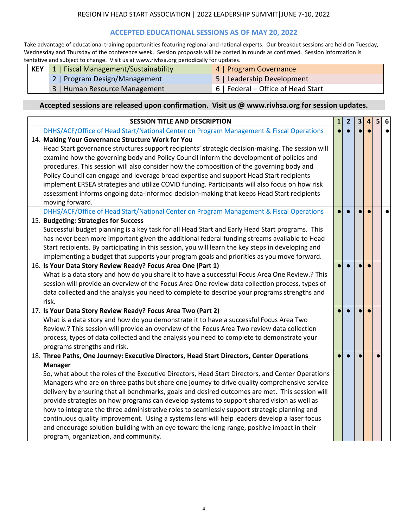# **ACCEPTED EDUCATIONAL SESSIONS AS OF MAY 20, 2022**

Take advantage of educational training opportunities featuring regional and national experts. Our breakout sessions are held on Tuesday, Wednesday and Thursday of the conference week. Session proposals will be posted in rounds as confirmed. Session information is tentative and subject to change. Visit us at www.rivhsa.org periodically for updates.

|  | KEY 1   Fiscal Management/Sustainability |  | 4   Program Governance |  |
|--|------------------------------------------|--|------------------------|--|

- 
- 2 | Program Design/Management 5 | Leadership Development
- 3 | Human Resource Management 6 | Federal Office of Head Start
- 

| <b>SESSION TITLE AND DESCRIPTION</b>                                                               | $\mathbf{1}$ | $\overline{2}$ | $\overline{\mathbf{3}}$ | $\overline{4}$ | $5\overline{5}$ | 6 |
|----------------------------------------------------------------------------------------------------|--------------|----------------|-------------------------|----------------|-----------------|---|
| DHHS/ACF/Office of Head Start/National Center on Program Management & Fiscal Operations            |              |                |                         |                |                 |   |
| 14. Making Your Governance Structure Work for You                                                  |              |                |                         |                |                 |   |
| Head Start governance structures support recipients' strategic decision-making. The session will   |              |                |                         |                |                 |   |
| examine how the governing body and Policy Council inform the development of policies and           |              |                |                         |                |                 |   |
| procedures. This session will also consider how the composition of the governing body and          |              |                |                         |                |                 |   |
| Policy Council can engage and leverage broad expertise and support Head Start recipients           |              |                |                         |                |                 |   |
| implement ERSEA strategies and utilize COVID funding. Participants will also focus on how risk     |              |                |                         |                |                 |   |
| assessment informs ongoing data-informed decision-making that keeps Head Start recipients          |              |                |                         |                |                 |   |
| moving forward.                                                                                    |              |                |                         |                |                 |   |
| DHHS/ACF/Office of Head Start/National Center on Program Management & Fiscal Operations            |              |                |                         |                |                 |   |
| 15. Budgeting: Strategies for Success                                                              |              |                |                         |                |                 |   |
| Successful budget planning is a key task for all Head Start and Early Head Start programs. This    |              |                |                         |                |                 |   |
| has never been more important given the additional federal funding streams available to Head       |              |                |                         |                |                 |   |
| Start recipients. By participating in this session, you will learn the key steps in developing and |              |                |                         |                |                 |   |
| implementing a budget that supports your program goals and priorities as you move forward.         |              |                |                         |                |                 |   |
| 16. Is Your Data Story Review Ready? Focus Area One (Part 1)                                       |              |                |                         |                |                 |   |
| What is a data story and how do you share it to have a successful Focus Area One Review.? This     |              |                |                         |                |                 |   |
| session will provide an overview of the Focus Area One review data collection process, types of    |              |                |                         |                |                 |   |
| data collected and the analysis you need to complete to describe your programs strengths and       |              |                |                         |                |                 |   |
| risk.                                                                                              |              |                |                         |                |                 |   |
| 17. Is Your Data Story Review Ready? Focus Area Two (Part 2)                                       |              |                |                         |                |                 |   |
| What is a data story and how do you demonstrate it to have a successful Focus Area Two             |              |                |                         |                |                 |   |
| Review.? This session will provide an overview of the Focus Area Two review data collection        |              |                |                         |                |                 |   |
| process, types of data collected and the analysis you need to complete to demonstrate your         |              |                |                         |                |                 |   |
| programs strengths and risk.                                                                       |              |                |                         |                |                 |   |
| 18. Three Paths, One Journey: Executive Directors, Head Start Directors, Center Operations         |              |                |                         |                |                 |   |
| <b>Manager</b>                                                                                     |              |                |                         |                |                 |   |
| So, what about the roles of the Executive Directors, Head Start Directors, and Center Operations   |              |                |                         |                |                 |   |
| Managers who are on three paths but share one journey to drive quality comprehensive service       |              |                |                         |                |                 |   |
| delivery by ensuring that all benchmarks, goals and desired outcomes are met. This session will    |              |                |                         |                |                 |   |
| provide strategies on how programs can develop systems to support shared vision as well as         |              |                |                         |                |                 |   |
| how to integrate the three administrative roles to seamlessly support strategic planning and       |              |                |                         |                |                 |   |
| continuous quality improvement. Using a systems lens will help leaders develop a laser focus       |              |                |                         |                |                 |   |
| and encourage solution-building with an eye toward the long-range, positive impact in their        |              |                |                         |                |                 |   |
| program, organization, and community.                                                              |              |                |                         |                |                 |   |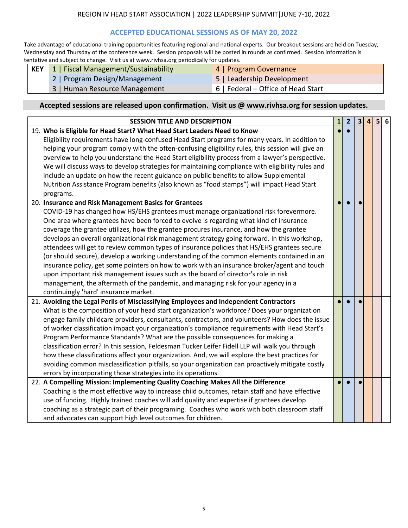### **ACCEPTED EDUCATIONAL SESSIONS AS OF MAY 20, 2022**

Take advantage of educational training opportunities featuring regional and national experts. Our breakout sessions are held on Tuesday, Wednesday and Thursday of the conference week. Session proposals will be posted in rounds as confirmed. Session information is tentative and subject to change. Visit us at www.rivhsa.org periodically for updates.

| <b>KEY</b> 1   Fiscal Management/Sustainability | 4   Program Governance     |
|-------------------------------------------------|----------------------------|
| 2   Program Design/Management                   | 5   Leadership Development |

- 
- 3 | Human Resource Management 6 | Federal Office of Head Start

| <b>SESSION TITLE AND DESCRIPTION</b>                                                              | 1 | $\overline{2}$ | $\overline{\mathbf{3}}$ | $\overline{4}$ | 5 | 6 |
|---------------------------------------------------------------------------------------------------|---|----------------|-------------------------|----------------|---|---|
| 19. Who is Eligible for Head Start? What Head Start Leaders Need to Know                          |   |                |                         |                |   |   |
| Eligibility requirements have long-confused Head Start programs for many years. In addition to    |   |                |                         |                |   |   |
| helping your program comply with the often-confusing eligibility rules, this session will give an |   |                |                         |                |   |   |
| overview to help you understand the Head Start eligibility process from a lawyer's perspective.   |   |                |                         |                |   |   |
| We will discuss ways to develop strategies for maintaining compliance with eligibility rules and  |   |                |                         |                |   |   |
| include an update on how the recent guidance on public benefits to allow Supplemental             |   |                |                         |                |   |   |
| Nutrition Assistance Program benefits (also known as "food stamps") will impact Head Start        |   |                |                         |                |   |   |
| programs.                                                                                         |   |                |                         |                |   |   |
| 20. Insurance and Risk Management Basics for Grantees                                             |   |                |                         |                |   |   |
| COVID-19 has changed how HS/EHS grantees must manage organizational risk forevermore.             |   |                |                         |                |   |   |
| One area where grantees have been forced to evolve Is regarding what kind of insurance            |   |                |                         |                |   |   |
| coverage the grantee utilizes, how the grantee procures insurance, and how the grantee            |   |                |                         |                |   |   |
| develops an overall organizational risk management strategy going forward. In this workshop,      |   |                |                         |                |   |   |
| attendees will get to review common types of insurance policies that HS/EHS grantees secure       |   |                |                         |                |   |   |
| (or should secure), develop a working understanding of the common elements contained in an        |   |                |                         |                |   |   |
| insurance policy, get some pointers on how to work with an insurance broker/agent and touch       |   |                |                         |                |   |   |
| upon important risk management issues such as the board of director's role in risk                |   |                |                         |                |   |   |
| management, the aftermath of the pandemic, and managing risk for your agency in a                 |   |                |                         |                |   |   |
| continuingly 'hard' insurance market.                                                             |   |                |                         |                |   |   |
| 21. Avoiding the Legal Perils of Misclassifying Employees and Independent Contractors             |   |                |                         |                |   |   |
| What is the composition of your head start organization's workforce? Does your organization       |   |                |                         |                |   |   |
| engage family childcare providers, consultants, contractors, and volunteers? How does the issue   |   |                |                         |                |   |   |
| of worker classification impact your organization's compliance requirements with Head Start's     |   |                |                         |                |   |   |
| Program Performance Standards? What are the possible consequences for making a                    |   |                |                         |                |   |   |
| classification error? In this session, Feldesman Tucker Leifer Fidell LLP will walk you through   |   |                |                         |                |   |   |
| how these classifications affect your organization. And, we will explore the best practices for   |   |                |                         |                |   |   |
| avoiding common misclassification pitfalls, so your organization can proactively mitigate costly  |   |                |                         |                |   |   |
| errors by incorporating those strategies into its operations.                                     |   |                |                         |                |   |   |
| 22. A Compelling Mission: Implementing Quality Coaching Makes All the Difference                  |   |                |                         |                |   |   |
| Coaching is the most effective way to increase child outcomes, retain staff and have effective    |   |                |                         |                |   |   |
| use of funding. Highly trained coaches will add quality and expertise if grantees develop         |   |                |                         |                |   |   |
| coaching as a strategic part of their programing. Coaches who work with both classroom staff      |   |                |                         |                |   |   |
| and advocates can support high level outcomes for children.                                       |   |                |                         |                |   |   |